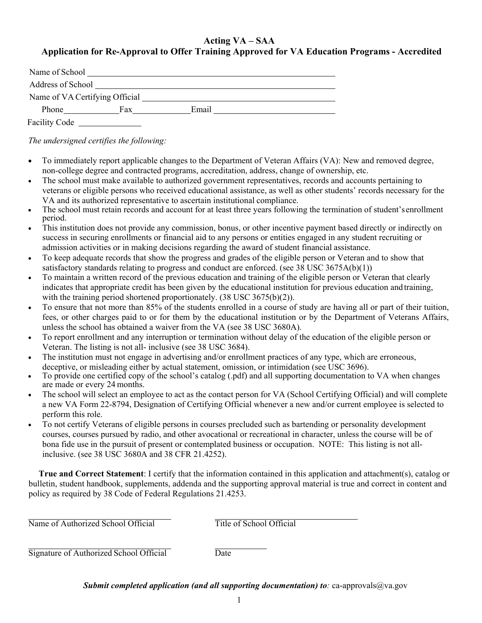### **Acting VA – SAA Application for Re-Approval to Offer Training Approved for VA Education Programs - Accredited**

| Name of School                 |     |       |  |
|--------------------------------|-----|-------|--|
| Address of School              |     |       |  |
| Name of VA Certifying Official |     |       |  |
| Phone                          | Fax | Email |  |
| Facility Code                  |     |       |  |

*The undersigned certifies the following:* 

- To immediately report applicable changes to the Department of Veteran Affairs (VA): New and removed degree, non-college degree and contracted programs, accreditation, address, change of ownership, etc.
- The school must make available to authorized government representatives, records and accounts pertaining to veterans or eligible persons who received educational assistance, as well as other students' records necessary for the VA and its authorized representative to ascertain institutional compliance.
- The school must retain records and account for at least three years following the termination of student'senrollment period.
- This institution does not provide any commission, bonus, or other incentive payment based directly or indirectly on success in securing enrollments or financial aid to any persons or entities engaged in any student recruiting or admission activities or in making decisions regarding the award of student financial assistance.
- To keep adequate records that show the progress and grades of the eligible person or Veteran and to show that satisfactory standards relating to progress and conduct are enforced. (see 38 USC 3675A(b)(1))
- To maintain a written record of the previous education and training of the eligible person or Veteran that clearly indicates that appropriate credit has been given by the educational institution for previous education and training, with the training period shortened proportionately. (38 USC 3675(b)(2)).
- fees, or other charges paid to or for them by the educational institution or by the Department of Veterans Affairs, To ensure that not more than 85% of the students enrolled in a course of study are having all or part of their tuition, unless the school has obtained a waiver from the VA (see 38 USC 3680A).
- To report enrollment and any interruption or termination without delay of the education of the eligible person or Veteran. The listing is not all- inclusive (see 38 USC 3684).
- The institution must not engage in advertising and/or enrollment practices of any type, which are erroneous, deceptive, or misleading either by actual statement, omission, or intimidation (see USC 3696).
- To provide one certified copy of the school's catalog (.pdf) and all supporting documentation to VA when changes are made or every 24 months.
- The school will select an employee to act as the contact person for VA (School Certifying Official) and will complete a new VA Form 22-8794, Designation of Certifying Official whenever a new and/or current employee is selected to perform this role.
- To not certify Veterans of eligible persons in courses precluded such as bartending or personality development courses, courses pursued by radio, and other avocational or recreational in character, unless the course will be of bona fide use in the pursuit of present or contemplated business or occupation. NOTE: This listing is not allinclusive. (see 38 USC 3680A and 38 CFR 21.4252).

**True and Correct Statement**: I certify that the information contained in this application and attachment(s), catalog or bulletin, student handbook, supplements, addenda and the supporting approval material is true and correct in content and policy as required by 38 Code of Federal Regulations 21.4253.

Name of Authorized School Official Title of School Official

Signature of Authorized School Official Date

*Submit completed application (and all supporting documentation) to*: ca-approvals@va.gov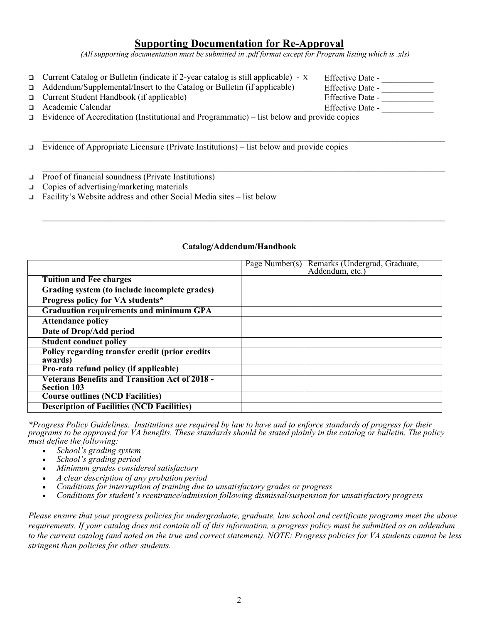#### **Supporting Documentation for Re-Approval**

*(All supporting documentation must be submitted in .pdf format except for Program listing which is .xls)* 

 $\mathcal{L}_\mathcal{L} = \mathcal{L}_\mathcal{L} = \mathcal{L}_\mathcal{L} = \mathcal{L}_\mathcal{L} = \mathcal{L}_\mathcal{L} = \mathcal{L}_\mathcal{L} = \mathcal{L}_\mathcal{L} = \mathcal{L}_\mathcal{L} = \mathcal{L}_\mathcal{L} = \mathcal{L}_\mathcal{L} = \mathcal{L}_\mathcal{L} = \mathcal{L}_\mathcal{L} = \mathcal{L}_\mathcal{L} = \mathcal{L}_\mathcal{L} = \mathcal{L}_\mathcal{L} = \mathcal{L}_\mathcal{L} = \mathcal{L}_\mathcal{L}$ 

 $\mathcal{L}_\mathcal{L} = \mathcal{L}_\mathcal{L} = \mathcal{L}_\mathcal{L} = \mathcal{L}_\mathcal{L} = \mathcal{L}_\mathcal{L} = \mathcal{L}_\mathcal{L} = \mathcal{L}_\mathcal{L} = \mathcal{L}_\mathcal{L} = \mathcal{L}_\mathcal{L} = \mathcal{L}_\mathcal{L} = \mathcal{L}_\mathcal{L} = \mathcal{L}_\mathcal{L} = \mathcal{L}_\mathcal{L} = \mathcal{L}_\mathcal{L} = \mathcal{L}_\mathcal{L} = \mathcal{L}_\mathcal{L} = \mathcal{L}_\mathcal{L}$ 

 $\mathcal{L}_\mathcal{L} = \mathcal{L}_\mathcal{L} = \mathcal{L}_\mathcal{L} = \mathcal{L}_\mathcal{L} = \mathcal{L}_\mathcal{L} = \mathcal{L}_\mathcal{L} = \mathcal{L}_\mathcal{L} = \mathcal{L}_\mathcal{L} = \mathcal{L}_\mathcal{L} = \mathcal{L}_\mathcal{L} = \mathcal{L}_\mathcal{L} = \mathcal{L}_\mathcal{L} = \mathcal{L}_\mathcal{L} = \mathcal{L}_\mathcal{L} = \mathcal{L}_\mathcal{L} = \mathcal{L}_\mathcal{L} = \mathcal{L}_\mathcal{L}$ 

□ Current Catalog or Bulletin (indicate if 2-year catalog is still applicable) - X Effective Date -

Addendum/Supplemental/Insert to the Catalog or Bulletin (if applicable)

- $\Box$  Current Student Handbook (if applicable)
- $\Box$  Academic Calendar

 $\Box$  Evidence of Accreditation (Institutional and Programmatic) – list below and provide copies

Evidence of Appropriate Licensure (Private Institutions) – list below and provide copies

- □ Proof of financial soundness (Private Institutions)
- $\Box$  Copies of advertising/marketing materials
- $\Box$  Facility's Website address and other Social Media sites list below

#### **Catalog/Addendum/Handbook**

|                                                                             | Page Number(s) Remarks (Undergrad, Graduate,<br>Addendum, etc.) |
|-----------------------------------------------------------------------------|-----------------------------------------------------------------|
| <b>Tuition and Fee charges</b>                                              |                                                                 |
| Grading system (to include incomplete grades)                               |                                                                 |
| Progress policy for VA students*                                            |                                                                 |
| <b>Graduation requirements and minimum GPA</b>                              |                                                                 |
| <b>Attendance policy</b>                                                    |                                                                 |
| Date of Drop/Add period                                                     |                                                                 |
| <b>Student conduct policy</b>                                               |                                                                 |
| Policy regarding transfer credit (prior credits<br>awards)                  |                                                                 |
| Pro-rata refund policy (if applicable)                                      |                                                                 |
| <b>Veterans Benefits and Transition Act of 2018 -</b><br><b>Section 103</b> |                                                                 |
| <b>Course outlines (NCD Facilities)</b>                                     |                                                                 |
| <b>Description of Facilities (NCD Facilities)</b>                           |                                                                 |

*\*Progress Policy Guidelines. Institutions are required by law to have and to enforce standards of progress for their programs to be approved for VA benefits. These standards should be stated plainly in the catalog or bulletin. The policy must define the following:* 

- *School's grading system*
- *School's grading period*
- *Minimum grades considered satisfactory*
- *A clear description of any probation period*
- *Conditions for interruption of training due to unsatisfactory grades or progress*
- *Conditions for student's reentrance/admission following dismissal/suspension for unsatisfactory progress*

*Please ensure that your progress policies for undergraduate, graduate, law school and certificate programs meet the above requirements. If your catalog does not contain all of this information, a progress policy must be submitted as an addendum to the current catalog (and noted on the true and correct statement). NOTE: Progress policies for VA students cannot be less stringent than policies for other students.* 

| Л | ETTecnve Date -  |
|---|------------------|
|   | Effective Date - |
|   | Effective Date - |
|   | Effective Date - |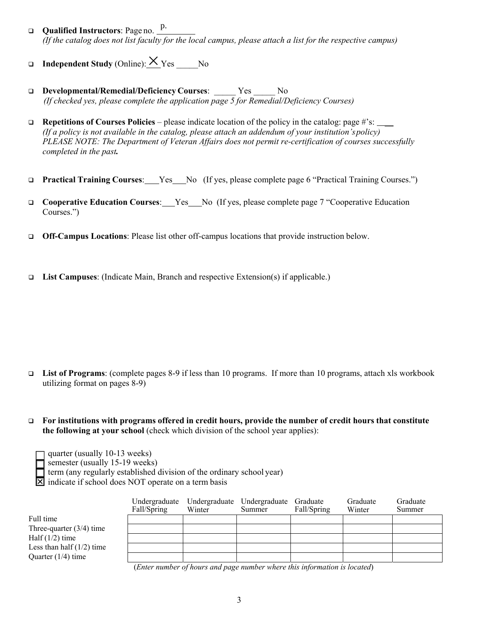- **Qualified Instructors**: Page no. p. *(If the catalog does not list faculty for the local campus, please attach a list for the respective campus)*
- **Independent Study** (Online):  $\times$  Yes No
- **Developmental/Remedial/Deficiency Courses**: \_\_\_\_\_ Yes \_\_\_\_\_ No *(If checked yes, please complete the application page 5 for Remedial/Deficiency Courses)*
- **□** Repetitions of Courses Policies please indicate location of the policy in the catalog: page #'s: \_\_\_\_\_ *(If a policy is not available in the catalog, please attach an addendum of your institution's policy) PLEASE NOTE: The Department of Veteran Affairs does not permit re-certification of courses successfully completed in the past.*
- **Practical Training Courses:** Yes No (If yes, please complete page 6 "Practical Training Courses.")
- **Cooperative Education Courses**: Yes No (If yes, please complete page 7 "Cooperative Education Courses.")
- **Off-Campus Locations**: Please list other off-campus locations that provide instruction below.
- **List Campuses**: (Indicate Main, Branch and respective Extension(s) if applicable.)

- **List of Programs**: (complete pages 8-9 if less than 10 programs. If more than 10 programs, attach xls workbook utilizing format on pages 8-9)
- **For institutions with programs offered in credit hours, provide the number of credit hours that constitute the following at your school** (check which division of the school year applies):
	- quarter (usually 10-13 weeks)

semester (usually 15-19 weeks)

term (any regularly established division of the ordinary school year)

 $\boxtimes$  indicate if school does NOT operate on a term basis

|                             | Undergraduate<br>Fall/Spring | Winter       | Undergraduate Undergraduate<br>Summer | Graduate<br>Fall/Spring | Graduate<br>Winter | Graduate<br>Summer |
|-----------------------------|------------------------------|--------------|---------------------------------------|-------------------------|--------------------|--------------------|
|                             |                              |              |                                       |                         |                    |                    |
| Full time                   |                              |              |                                       |                         |                    |                    |
| Three-quarter $(3/4)$ time  |                              |              |                                       |                         |                    |                    |
| Half $(1/2)$ time           |                              |              |                                       |                         |                    |                    |
| Less than half $(1/2)$ time |                              |              |                                       |                         |                    |                    |
| Quarter $(1/4)$ time        |                              |              |                                       |                         |                    |                    |
|                             | $\sqrt{1}$                   | $\mathbf{A}$ |                                       | $\cdots$ $\cdots$       |                    |                    |

 (*Enter number of hours and page number where this information is located*)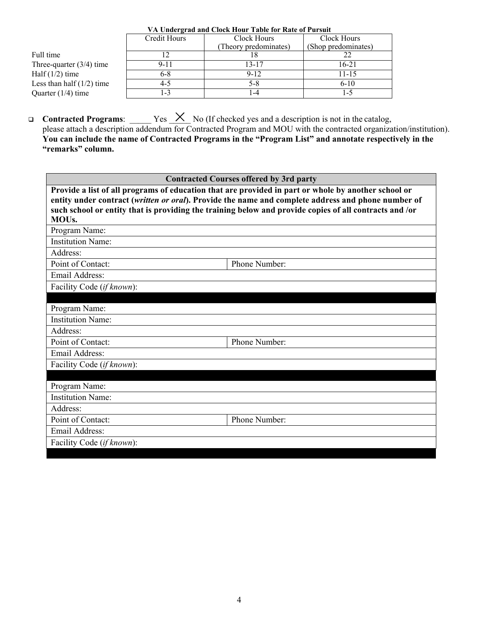|                             | Credit Hours | Clock Hours           | Clock Hours         |
|-----------------------------|--------------|-----------------------|---------------------|
|                             |              | (Theory predominates) | (Shop predominates) |
| Full time                   |              |                       |                     |
| Three-quarter $(3/4)$ time  | $9 - 11$     | 13-17                 | 16-21               |
| Half $(1/2)$ time           | 6-8          | $9-12$                | 11-15               |
| Less than half $(1/2)$ time | $4 - 5$      | 5-8                   | $6-10$              |
| Quarter $(1/4)$ time        | $-3$         | -4                    | 1-5                 |

#### **VA Undergrad and Clock Hour Table for Rate of Pursuit**

□ Contracted Programs: \_\_\_\_\_\_ Yes <u>X</u> No (If checked yes and a description is not in the catalog,

please attach a description addendum for Contracted Program and MOU with the contracted organization/institution). **You can include the name of Contracted Programs in the "Program List" and annotate respectively in the "remarks" column.** 

|                                                                                                                                                                                                                                                                                                                                          | <b>Contracted Courses offered by 3rd party</b> |  |  |  |
|------------------------------------------------------------------------------------------------------------------------------------------------------------------------------------------------------------------------------------------------------------------------------------------------------------------------------------------|------------------------------------------------|--|--|--|
| Provide a list of all programs of education that are provided in part or whole by another school or<br>entity under contract (written or oral). Provide the name and complete address and phone number of<br>such school or entity that is providing the training below and provide copies of all contracts and /or<br>MOU <sub>s.</sub> |                                                |  |  |  |
| Program Name:                                                                                                                                                                                                                                                                                                                            |                                                |  |  |  |
| <b>Institution Name:</b>                                                                                                                                                                                                                                                                                                                 |                                                |  |  |  |
| Address:                                                                                                                                                                                                                                                                                                                                 |                                                |  |  |  |
| Point of Contact:                                                                                                                                                                                                                                                                                                                        | Phone Number:                                  |  |  |  |
| Email Address:                                                                                                                                                                                                                                                                                                                           |                                                |  |  |  |
| Facility Code (if known):                                                                                                                                                                                                                                                                                                                |                                                |  |  |  |
|                                                                                                                                                                                                                                                                                                                                          |                                                |  |  |  |
| Program Name:                                                                                                                                                                                                                                                                                                                            |                                                |  |  |  |
| <b>Institution Name:</b>                                                                                                                                                                                                                                                                                                                 |                                                |  |  |  |
| Address:                                                                                                                                                                                                                                                                                                                                 |                                                |  |  |  |
| Point of Contact:                                                                                                                                                                                                                                                                                                                        | Phone Number:                                  |  |  |  |
| <b>Email Address:</b>                                                                                                                                                                                                                                                                                                                    |                                                |  |  |  |
| Facility Code (if known):                                                                                                                                                                                                                                                                                                                |                                                |  |  |  |
|                                                                                                                                                                                                                                                                                                                                          |                                                |  |  |  |
| Program Name:                                                                                                                                                                                                                                                                                                                            |                                                |  |  |  |
| <b>Institution Name:</b>                                                                                                                                                                                                                                                                                                                 |                                                |  |  |  |
| Address:                                                                                                                                                                                                                                                                                                                                 |                                                |  |  |  |
| Point of Contact:                                                                                                                                                                                                                                                                                                                        | Phone Number:                                  |  |  |  |
| <b>Email Address:</b>                                                                                                                                                                                                                                                                                                                    |                                                |  |  |  |
| Facility Code (if known):                                                                                                                                                                                                                                                                                                                |                                                |  |  |  |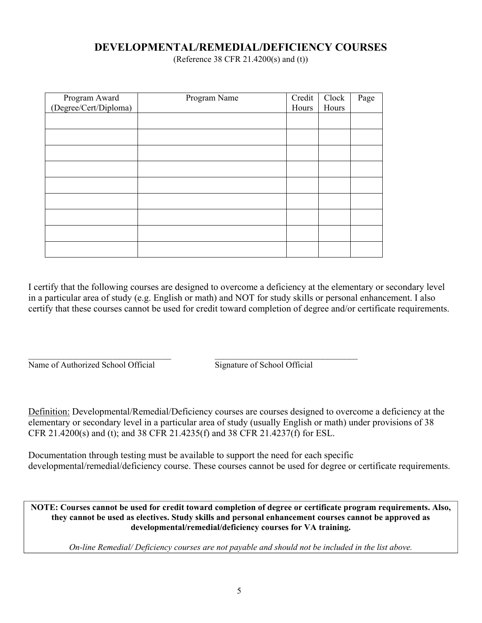### **DEVELOPMENTAL/REMEDIAL/DEFICIENCY COURSES**

(Reference 38 CFR 21.4200(s) and (t))

| Program Award<br>(Degree/Cert/Diploma) | Program Name | Credit | Clock | Page |
|----------------------------------------|--------------|--------|-------|------|
|                                        |              | Hours  | Hours |      |
|                                        |              |        |       |      |
|                                        |              |        |       |      |
|                                        |              |        |       |      |
|                                        |              |        |       |      |
|                                        |              |        |       |      |
|                                        |              |        |       |      |
|                                        |              |        |       |      |
|                                        |              |        |       |      |
|                                        |              |        |       |      |

 $\mathcal{L}_\text{max}$  , and the contribution of the contribution of the contribution of the contribution of the contribution of the contribution of the contribution of the contribution of the contribution of the contribution of t

I certify that the following courses are designed to overcome a deficiency at the elementary or secondary level in a particular area of study (e.g. English or math) and NOT for study skills or personal enhancement. I also certify that these courses cannot be used for credit toward completion of degree and/or certificate requirements.

Name of Authorized School Official Signature of School Official

Definition: Developmental/Remedial/Deficiency courses are courses designed to overcome a deficiency at the elementary or secondary level in a particular area of study (usually English or math) under provisions of 38 CFR 21.4200(s) and (t); and 38 CFR 21.4235(f) and 38 CFR 21.4237(f) for ESL.

Documentation through testing must be available to support the need for each specific developmental/remedial/deficiency course. These courses cannot be used for degree or certificate requirements.

**NOTE: Courses cannot be used for credit toward completion of degree or certificate program requirements. Also, they cannot be used as electives. Study skills and personal enhancement courses cannot be approved as developmental/remedial/deficiency courses for VA training.** 

*On-line Remedial/ Deficiency courses are not payable and should not be included in the list above.*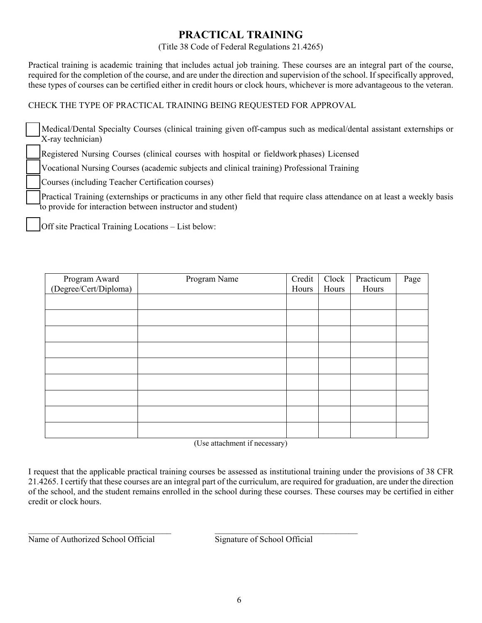### **PRACTICAL TRAINING**

#### (Title 38 Code of Federal Regulations 21.4265)

Practical training is academic training that includes actual job training. These courses are an integral part of the course, required for the completion of the course, and are under the direction and supervision of the school. If specifically approved, these types of courses can be certified either in credit hours or clock hours, whichever is more advantageous to the veteran.

#### CHECK THE TYPE OF PRACTICAL TRAINING BEING REQUESTED FOR APPROVAL

Medical/Dental Specialty Courses (clinical training given off-campus such as medical/dental assistant externships or X-ray technician)

Registered Nursing Courses (clinical courses with hospital or fieldwork phases) Licensed

Vocational Nursing Courses (academic subjects and clinical training) Professional Training

Courses (including Teacher Certification courses)

Practical Training (externships or practicums in any other field that require class attendance on at least a weekly basis to provide for interaction between instructor and student)

Off site Practical Training Locations – List below:

|                                        | Program Name | Credit | Clock | Practicum | Page |
|----------------------------------------|--------------|--------|-------|-----------|------|
| Program Award<br>(Degree/Cert/Diploma) |              | Hours  | Hours | Hours     |      |
|                                        |              |        |       |           |      |
|                                        |              |        |       |           |      |
|                                        |              |        |       |           |      |
|                                        |              |        |       |           |      |
|                                        |              |        |       |           |      |
|                                        |              |        |       |           |      |
|                                        |              |        |       |           |      |
|                                        |              |        |       |           |      |
|                                        |              |        |       |           |      |
|                                        |              |        |       |           |      |

(Use attachment if necessary)

I request that the applicable practical training courses be assessed as institutional training under the provisions of 38 CFR 21.4265. I certify that these courses are an integral part of the curriculum, are required for graduation, are under the direction of the school, and the student remains enrolled in the school during these courses. These courses may be certified in either credit or clock hours.

 $\mathcal{L}_\text{max} = \mathcal{L}_\text{max} = \mathcal{L}_\text{max} = \mathcal{L}_\text{max} = \mathcal{L}_\text{max} = \mathcal{L}_\text{max} = \mathcal{L}_\text{max} = \mathcal{L}_\text{max} = \mathcal{L}_\text{max} = \mathcal{L}_\text{max} = \mathcal{L}_\text{max} = \mathcal{L}_\text{max} = \mathcal{L}_\text{max} = \mathcal{L}_\text{max} = \mathcal{L}_\text{max} = \mathcal{L}_\text{max} = \mathcal{L}_\text{max} = \mathcal{L}_\text{max} = \mathcal{$ 

Name of Authorized School Official Signature of School Official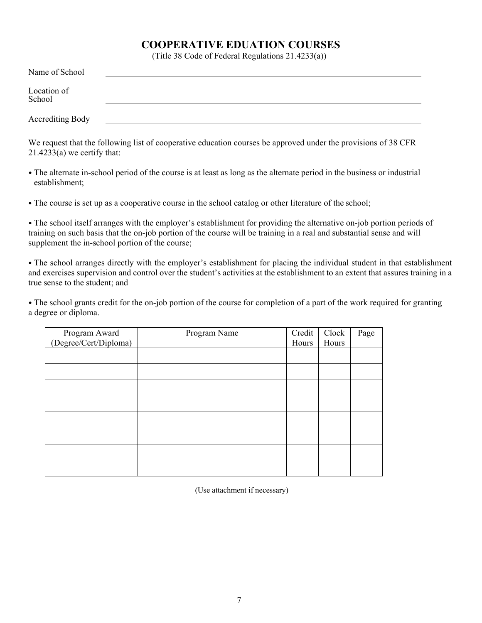### **COOPERATIVE EDUATION COURSES**

(Title 38 Code of Federal Regulations 21.4233(a))

| Name of School        |  |  |
|-----------------------|--|--|
| Location of<br>School |  |  |
| Accrediting Body      |  |  |

We request that the following list of cooperative education courses be approved under the provisions of 38 CFR  $21.4233(a)$  we certify that:

• The alternate in-school period of the course is at least as long as the alternate period in the business or industrial establishment;

• The course is set up as a cooperative course in the school catalog or other literature of the school;

• The school itself arranges with the employer's establishment for providing the alternative on-job portion periods of training on such basis that the on-job portion of the course will be training in a real and substantial sense and will supplement the in-school portion of the course;

• The school arranges directly with the employer's establishment for placing the individual student in that establishment and exercises supervision and control over the student's activities at the establishment to an extent that assures training in a true sense to the student; and

• The school grants credit for the on-job portion of the course for completion of a part of the work required for granting a degree or diploma.

| Program Award<br>(Degree/Cert/Diploma) | Program Name | Credit | Clock | Page |
|----------------------------------------|--------------|--------|-------|------|
|                                        |              | Hours  | Hours |      |
|                                        |              |        |       |      |
|                                        |              |        |       |      |
|                                        |              |        |       |      |
|                                        |              |        |       |      |
|                                        |              |        |       |      |
|                                        |              |        |       |      |
|                                        |              |        |       |      |
|                                        |              |        |       |      |
|                                        |              |        |       |      |
|                                        |              |        |       |      |
|                                        |              |        |       |      |
|                                        |              |        |       |      |
|                                        |              |        |       |      |
|                                        |              |        |       |      |
|                                        |              |        |       |      |
|                                        |              |        |       |      |
|                                        |              |        |       |      |
|                                        |              |        |       |      |
|                                        |              |        |       |      |

(Use attachment if necessary)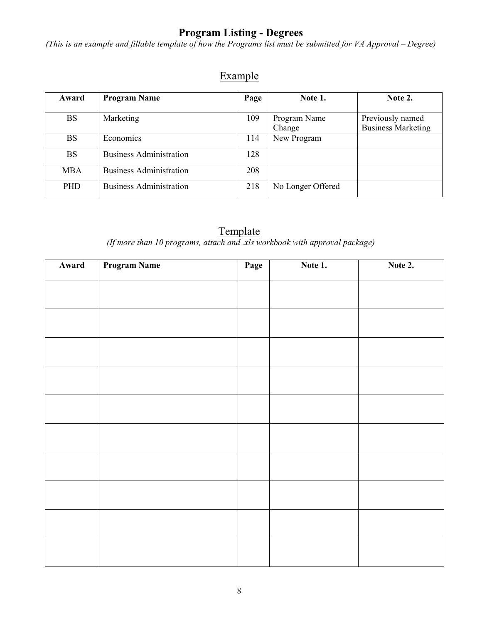## **Program Listing - Degrees**

*(This is an example and fillable template of how the Programs list must be submitted for VA Approval – Degree)* 

# Example

| Award      | <b>Program Name</b>            | Page | Note 1.                | Note 2.                                       |
|------------|--------------------------------|------|------------------------|-----------------------------------------------|
| <b>BS</b>  | Marketing                      | 109  | Program Name<br>Change | Previously named<br><b>Business Marketing</b> |
| <b>BS</b>  | Economics                      | 114  | New Program            |                                               |
| <b>BS</b>  | <b>Business Administration</b> | 128  |                        |                                               |
| <b>MBA</b> | <b>Business Administration</b> | 208  |                        |                                               |
| <b>PHD</b> | <b>Business Administration</b> | 218  | No Longer Offered      |                                               |

## **Template**

*(If more than 10 programs, attach and .xls workbook with approval package)* 

| Award | <b>Program Name</b> | Page | Note 1. | Note 2. |
|-------|---------------------|------|---------|---------|
|       |                     |      |         |         |
|       |                     |      |         |         |
|       |                     |      |         |         |
|       |                     |      |         |         |
|       |                     |      |         |         |
|       |                     |      |         |         |
|       |                     |      |         |         |
|       |                     |      |         |         |
|       |                     |      |         |         |
|       |                     |      |         |         |
|       |                     |      |         |         |
|       |                     |      |         |         |
|       |                     |      |         |         |
|       |                     |      |         |         |
|       |                     |      |         |         |
|       |                     |      |         |         |
|       |                     |      |         |         |
|       |                     |      |         |         |